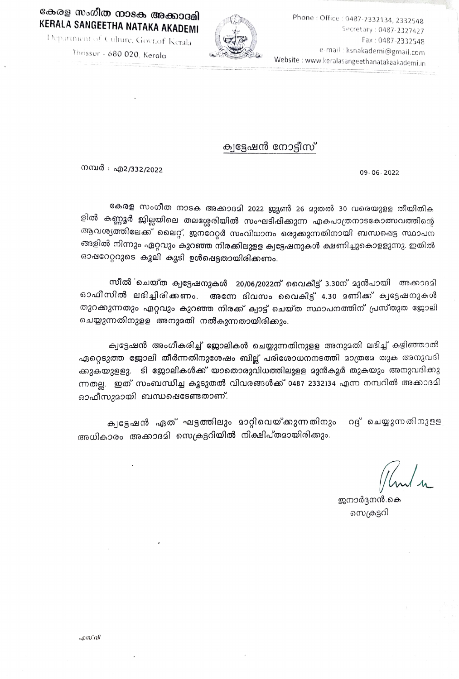## Phone: Office 0487-2332134, 2332548 KERALA SANGEETHA NATAKA AKADEMI SPCretary : 0487-2327427



Peparinient of Culture, Govt.of Kerala  $\left\{\bigotimes \bigotimes \bigotimes \atop \bigotimes \bigotimes \atop \bigtriangle \bigtriangle \bigtriangle \bigtriangle \right\}$  Fax: 0487-2332548 e-mail ksnakadeni@gmail.com Website: www.keralasangeethanatakaakademi.in

Thrissur - 680 020, Kerala

## ക്വട്ടേഷൻ നോട്ടീസ്

mmmo: a2/332/2022 09-06-2022

കേരള സംഗീത നാടക അക്കാദമി 2022 ജ്യൂൺ 26 മുതൽ 30 വരെയുളള തീയിതിക ളിൽ കണ്ണൂർ ജില്ലയിലെ തലശ്ശേരിയിൽ സംഘടിപ്പിക്കുന്ന എകപാത്രനാടകോത്സവത്തിന്റെ ആവശ്യത്തിലേക്ക് ലൈറ്റ്, ജനദേറ്റർ സംവിധാനം ഒരുക്കുന്നതിനായി ബന്ധഷെട്ട സ്ഥാപന<br>ങ്ങളിൽ നിന്നും ഏറ്റവും കുറഞ്ഞ നിരക്കിലുളള ക്വട്ടേഷനുകൾ ക്ഷണിച്ചുകൊളളുന്നു. ഇതിൽ ഓഷറേറ്ററുടെ കൂലി കൂടി ഉൾഷെട്ടതായിരിക്കണം.

സീൽ ഖെയ്ത ക്വട്ടേഷനുകൾ 20/06/2022ന് വൈകീട്ട് 3.30ന് മുൻപായി അക്കാദമി ഓഫീസിൽ ലഭിച്ചിരിക്കണം. അന്നേ ദിവസം വൈകീട്ട് 4.30 2ണിക്ക് ക്വട്ടേഷനുകൾ തുറക്കുന്നതും ഏറ്റവും കുറഞ്ഞ നിരക്ക് ക്വാട്ട് ചെയ്ത സ്ഥാപനത്തിന് പ്രസ്തുത ജോലി ചെയ്യുന്നതിനുളള അനുമതി നൽകുന്നതായിരിക്കും.

ക്വട്ടേഷൻ അംഗീകരിച്ച് ജോലികൾ ചെയ്യുന്നതിനുളള അനുമതി ലഭിച്ച് കഴിഞ്ഞാൽ ഏറ്റെടുത്ത ജോലി തീർന്നതിനുശേഷം ബില്ല് പരിശോധനനടത്തി മാത്രമേ തുക അനുവദി കുകയുളളു. ടി ജോലികൾക്ക് യാതൊരുവിധത്തിലുളള മുൻകൂർ തുകയും അനുവദിക്കു ന്നതല്ല. ഇത് സംബന്ധിച്ച കൂടുതൽ വിവരങ്ങൾക്ക് 0487 2332134 എന്ന നമ്പറിൽ അക്കാദമി  $63$ ഫീസുമായി ബന്ധഷെടേണ്ടതാണ്.

ക്വട്ടേഷൻ ഏത് ഘട്ടത്തിലും മാറ്റിവെയ്ക്കുന്നതിനും റദ്ദ് ചെയ്യുന്നതിനുളള അധികാരം അക്കാദമി സെക്രട്ടറിയിൽ നിക്ഷിപ്തമായിരിക്കും.

ജനാർദ്ദനൻ കെ സെക്രട്ടറി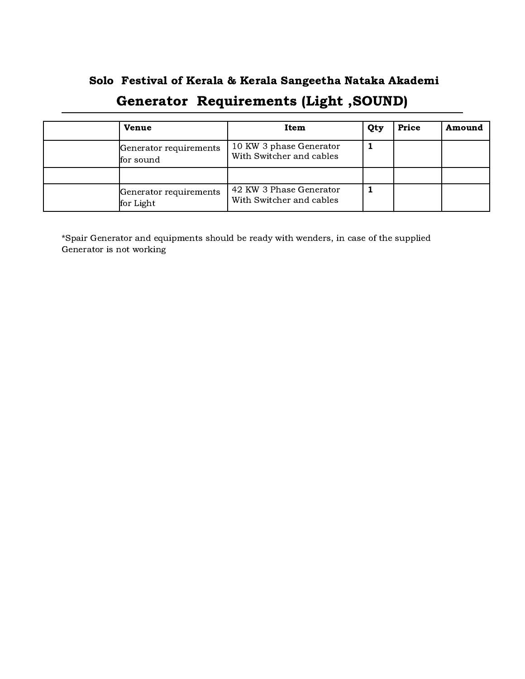## Solo Festival of Kerala & Kerala Sangeetha Nataka Akademi Generator Requirements (Light ,SOUND)

| <b>Venue</b>                        | Item                                                | Qty | Price | Amound |
|-------------------------------------|-----------------------------------------------------|-----|-------|--------|
| Generator requirements<br>for sound | 10 KW 3 phase Generator<br>With Switcher and cables |     |       |        |
|                                     |                                                     |     |       |        |
| Generator requirements<br>for Light | 42 KW 3 Phase Generator<br>With Switcher and cables |     |       |        |

\*Spair Generator and equipments should be ready with wenders, in case of the supplied Generator is not working